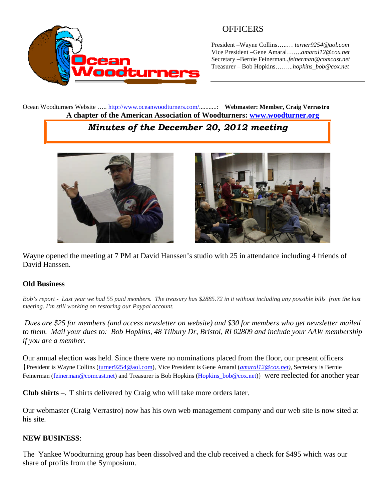

## **OFFICERS**

President –Wayne Collins…..… *turner9254@aol.com* Vice President –Gene Amaral…….*amaral12@cox.net* Secretary –Bernie Feinerman*..feinerman@comcast.net* Treasurer – Bob Hopkins……...*hopkins\_bob@cox.net*

Ocean Woodturners Website ….. <http://www.oceanwoodturners.com/>...........: **Webmaster: Member, Craig Verrastro A chapter of the American Association of Woodturners: [www.woodturner.org](http://www.woodturner.org/)**

# *Minutes of the December 20, 2012 meeting*



Wayne opened the meeting at 7 PM at David Hanssen's studio with 25 in attendance including 4 friends of David Hanssen.

### **Old Business**

*Bob's report - Last year we had 55 paid members. The treasury has \$2885.72 in it without including any possible bills from the last meeting. I'm still working on restoring our Paypal account.*

*Dues are \$25 for members (and access newsletter on website) and \$30 for members who get newsletter mailed to them. Mail your dues to: Bob Hopkins, 48 Tilbury Dr, Bristol, RI 02809 and include your AAW membership if you are a member.*

Our annual election was held. Since there were no nominations placed from the floor, our present officers {President is Wayne Collins [\(turner9254@aol.com](mailto:turner9254@aol.com)), Vice President is Gene Amaral (*[amaral12@cox.net\)](mailto:amaral12@cox.net),* Secretary is Bernie Feinerman([feinerman@comcast.net\)](mailto:feinerman@comcast.net) and Treasurer is Bob Hopkins [\(Hopkins\\_bob@cox.net\)](mailto:Hopkins_bob@cox.net)} were reelected for another year

**Club shirts** –. T shirts delivered by Craig who will take more orders later.

Our webmaster (Craig Verrastro) now has his own web management company and our web site is now sited at his site.

### **NEW BUSINESS**:

The Yankee Woodturning group has been dissolved and the club received a check for \$495 which was our share of profits from the Symposium.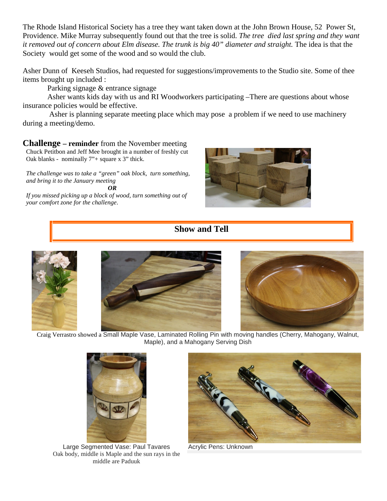The Rhode Island Historical Society has a tree they want taken down at the John Brown House, 52 Power St, Providence. Mike Murray subsequently found out that the tree is solid. *The tree died last spring and they want it removed out of concern about Elm disease. The trunk is big 40" diameter and straight.* The idea is that the Society would get some of the wood and so would the club.

Asher Dunn of Keeseh Studios, had requested for suggestions/improvements to the Studio site. Some of thee items brought up included :

Parking signage & entrance signage

Asher wants kids day with us and RI Woodworkers participating –There are questions about whose insurance policies would be effective.

Asher is planning separate meeting place which may pose a problem if we need to use machinery during a meeting/demo.

**Challenge – reminder** from the November meeting

Chuck Petitbon and Jeff Mee brought in a number of freshly cut Oak blanks - nominally 7"+ square x 3" thick.

*The challenge was to take a "green" oak block, turn something, and bring it to the January meeting OR*

*If you missed picking up a block of wood, turn something out of your comfort zone for the challenge*.



## **Show and Tell**







Craig Verrastro showed a Small Maple Vase, Laminated Rolling Pin with moving handles (Cherry, Mahogany, Walnut, Maple), and a Mahogany Serving Dish



Large Segmented Vase: Paul Tavares Oak body, middle is Maple and the sun rays in the middle are Paduuk



Acrylic Pens: Unknown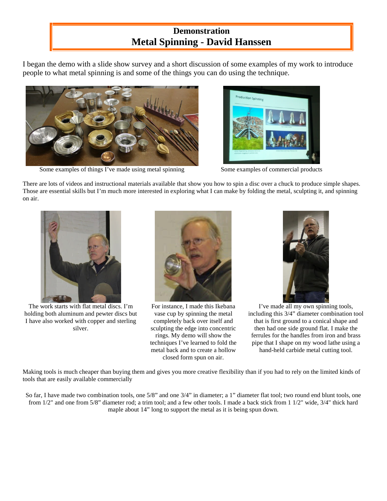# **Demonstration Metal Spinning - David Hanssen**

I began the demo with a slide show survey and a short discussion of some examples of my work to introduce people to what metal spinning is and some of the things you can do using the technique.



Some examples of things I've made using metal spinning Some examples of commercial products



There are lots of videos and instructional materials available that show you how to spin a disc over a chuck to produce simple shapes. Those are essential skills but I'm much more interested in exploring what I can make by folding the metal, sculpting it, and spinning on air.



The work starts with flat metal discs. I'm holding both aluminum and pewter discs but I have also worked with copper and sterling silver.



For instance, I made this Ikebana vase cup by spinning the metal completely back over itself and sculpting the edge into concentric rings. My demo will show the techniques I've learned to fold the metal back and to create a hollow closed form spun on air.



I've made all my own spinning tools, including this 3/4" diameter combination tool that is first ground to a conical shape and then had one side ground flat. I make the ferrules for the handles from iron and brass pipe that I shape on my wood lathe using a hand-held carbide metal cutting tool.

Making tools is much cheaper than buying them and gives you more creative flexibility than if you had to rely on the limited kinds of tools that are easily available commercially

So far, I have made two combination tools, one 5/8" and one 3/4" in diameter; a 1" diameter flat tool; two round end blunt tools, one from 1/2" and one from 5/8" diameter rod; a trim tool; and a few other tools. I made a back stick from 1 1/2" wide, 3/4" thick hard maple about 14" long to support the metal as it is being spun down.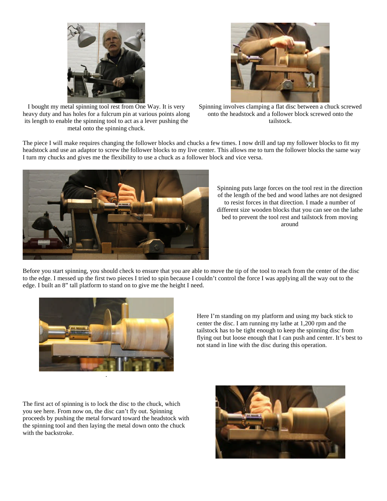



I bought my metal spinning tool rest from One Way. It is very heavy duty and has holes for a fulcrum pin at various points along its length to enable the spinning tool to act as a lever pushing the metal onto the spinning chuck.

Spinning involves clamping a flat disc between a chuck screwed onto the headstock and a follower block screwed onto the tailstock.

The piece I will make requires changing the follower blocks and chucks a few times. I now drill and tap my follower blocks to fit my headstock and use an adaptor to screw the follower blocks to my live center. This allows me to turn the follower blocks the same way I turn my chucks and gives me the flexibility to use a chuck as a follower block and vice versa.



Spinning puts large forces on the tool rest in the direction of the length of the bed and wood lathes are not designed to resist forces in that direction. I made a number of different size wooden blocks that you can see on the lathe bed to prevent the tool rest and tailstock from moving around

Before you start spinning, you should check to ensure that you are able to move the tip of the tool to reach from the center of the disc to the edge. I messed up the first two pieces I tried to spin because I couldn't control the force I was applying all the way out to the edge. I built an 8" tall platform to stand on to give me the height I need.



Here I'm standing on my platform and using my back stick to center the disc. I am running my lathe at 1,200 rpm and the tailstock has to be tight enough to keep the spinning disc from flying out but loose enough that I can push and center. It's best to not stand in line with the disc during this operation.

The first act of spinning is to lock the disc to the chuck, which you see here. From now on, the disc can't fly out. Spinning proceeds by pushing the metal forward toward the headstock with the spinning tool and then laying the metal down onto the chuck with the backstroke.

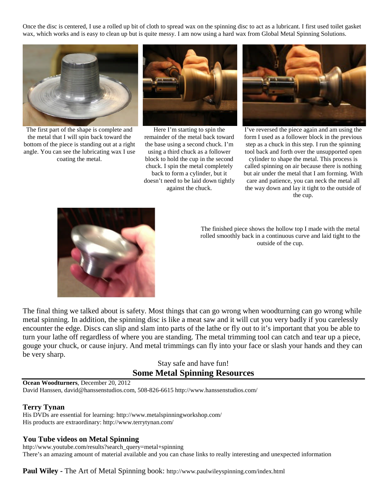Once the disc is centered, I use a rolled up bit of cloth to spread wax on the spinning disc to act as a lubricant. I first used toilet gasket wax, which works and is easy to clean up but is quite messy. I am now using a hard wax from Global Metal Spinning Solutions.



The first part of the shape is complete and the metal that I will spin back toward the bottom of the piece is standing out at a right angle. You can see the lubricating wax I use coating the metal.



Here I'm starting to spin the remainder of the metal back toward the base using a second chuck. I'm using a third chuck as a follower block to hold the cup in the second chuck. I spin the metal completely back to form a cylinder, but it doesn't need to be laid down tightly against the chuck.



I've reversed the piece again and am using the form I used as a follower block in the previous step as a chuck in this step. I run the spinning tool back and forth over the unsupported open

cylinder to shape the metal. This process is called spinning on air because there is nothing but air under the metal that I am forming. With care and patience, you can neck the metal all the way down and lay it tight to the outside of the cup.



The finished piece shows the hollow top I made with the metal rolled smoothly back in a continuous curve and laid tight to the outside of the cup.

The final thing we talked about is safety. Most things that can go wrong when woodturning can go wrong while metal spinning. In addition, the spinning disc is like a meat saw and it will cut you very badly if you carelessly encounter the edge. Discs can slip and slam into parts of the lathe or fly out to it's important that you be able to turn your lathe off regardless of where you are standing. The metal trimming tool can catch and tear up a piece, gouge your chuck, or cause injury. And metal trimmings can fly into your face or slash your hands and they can be very sharp.

> Stay safe and have fun! **Some Metal Spinning Resources**

**Ocean Woodturners**, December 20, 2012 David Hanssen, david@hanssenstudios.com, 508-826-6615 http://www.hanssenstudios.com/

#### **Terry Tynan**

His DVDs are essential for learning: http://www.metalspinningworkshop.com/ His products are extraordinary: http://www.terrytynan.com/

#### **You Tube videos on Metal Spinning**

http://www.youtube.com/results?search\_query=metal+spinning There's an amazing amount of material available and you can chase links to really interesting and unexpected information

**Paul Wiley -** The Art of Metal Spinning book: http://www.paulwileyspinning.com/index.html